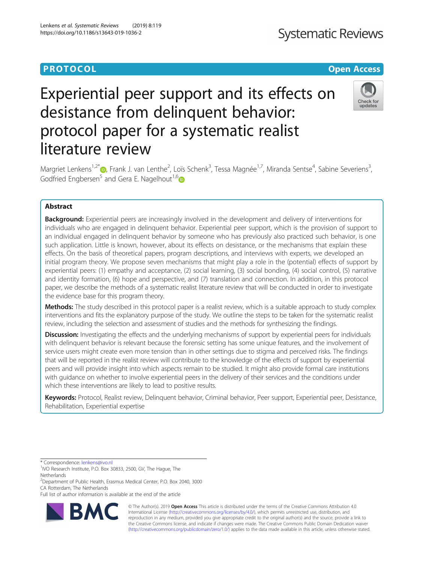## **PROTOCOL CONSUMING THE OPEN ACCESS**

# Experiential peer support and its effects on desistance from delinquent behavior: protocol paper for a systematic realist literature review



Margriet Lenkens<sup>1,2[\\*](http://orcid.org/0000-0001-5943-0919)</sup>®, Frank J. van Lenthe<sup>2</sup>, Loïs Schenk<sup>3</sup>, Tessa Magnée<sup>1,7</sup>, Miranda Sentse<sup>4</sup>, Sabine Severiens<sup>3</sup> , Godfried Engbersen<sup>5</sup> and Gera E. Nagelhout<sup>1,6</sup>

### Abstract

Background: Experiential peers are increasingly involved in the development and delivery of interventions for individuals who are engaged in delinquent behavior. Experiential peer support, which is the provision of support to an individual engaged in delinquent behavior by someone who has previously also practiced such behavior, is one such application. Little is known, however, about its effects on desistance, or the mechanisms that explain these effects. On the basis of theoretical papers, program descriptions, and interviews with experts, we developed an initial program theory. We propose seven mechanisms that might play a role in the (potential) effects of support by experiential peers: (1) empathy and acceptance, (2) social learning, (3) social bonding, (4) social control, (5) narrative and identity formation, (6) hope and perspective, and (7) translation and connection. In addition, in this protocol paper, we describe the methods of a systematic realist literature review that will be conducted in order to investigate the evidence base for this program theory.

Methods: The study described in this protocol paper is a realist review, which is a suitable approach to study complex interventions and fits the explanatory purpose of the study. We outline the steps to be taken for the systematic realist review, including the selection and assessment of studies and the methods for synthesizing the findings.

Discussion: Investigating the effects and the underlying mechanisms of support by experiential peers for individuals with delinquent behavior is relevant because the forensic setting has some unique features, and the involvement of service users might create even more tension than in other settings due to stigma and perceived risks. The findings that will be reported in the realist review will contribute to the knowledge of the effects of support by experiential peers and will provide insight into which aspects remain to be studied. It might also provide formal care institutions with guidance on whether to involve experiential peers in the delivery of their services and the conditions under which these interventions are likely to lead to positive results.

Keywords: Protocol, Realist review, Delinquent behavior, Criminal behavior, Peer support, Experiential peer, Desistance, Rehabilitation, Experiential expertise

\* Correspondence: [lenkens@ivo.nl](mailto:lenkens@ivo.nl) <sup>1</sup>

<sup>2</sup>Department of Public Health, Erasmus Medical Center, P.O. Box 2040, 3000 CA Rotterdam, The Netherlands

Full list of author information is available at the end of the article



© The Author(s). 2019 **Open Access** This article is distributed under the terms of the Creative Commons Attribution 4.0 International License [\(http://creativecommons.org/licenses/by/4.0/](http://creativecommons.org/licenses/by/4.0/)), which permits unrestricted use, distribution, and reproduction in any medium, provided you give appropriate credit to the original author(s) and the source, provide a link to the Creative Commons license, and indicate if changes were made. The Creative Commons Public Domain Dedication waiver [\(http://creativecommons.org/publicdomain/zero/1.0/](http://creativecommons.org/publicdomain/zero/1.0/)) applies to the data made available in this article, unless otherwise stated.

<sup>&</sup>lt;sup>1</sup>IVO Research Institute, P.O. Box 30833, 2500, GV, The Hague, The **Netherlands**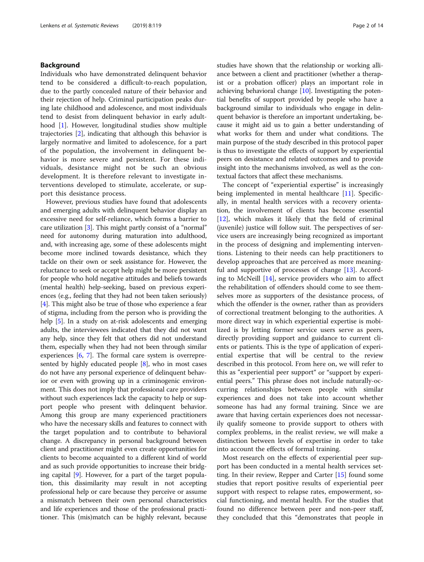#### Background

Individuals who have demonstrated delinquent behavior tend to be considered a difficult-to-reach population, due to the partly concealed nature of their behavior and their rejection of help. Criminal participation peaks during late childhood and adolescence, and most individuals tend to desist from delinquent behavior in early adulthood [[1](#page-12-0)]. However, longitudinal studies show multiple trajectories [[2\]](#page-12-0), indicating that although this behavior is largely normative and limited to adolescence, for a part of the population, the involvement in delinquent behavior is more severe and persistent. For these individuals, desistance might not be such an obvious development. It is therefore relevant to investigate interventions developed to stimulate, accelerate, or support this desistance process.

However, previous studies have found that adolescents and emerging adults with delinquent behavior display an excessive need for self-reliance, which forms a barrier to care utilization [[3\]](#page-12-0). This might partly consist of a "normal" need for autonomy during maturation into adulthood, and, with increasing age, some of these adolescents might become more inclined towards desistance, which they tackle on their own or seek assistance for. However, the reluctance to seek or accept help might be more persistent for people who hold negative attitudes and beliefs towards (mental health) help-seeking, based on previous experiences (e.g., feeling that they had not been taken seriously) [[4\]](#page-12-0). This might also be true of those who experience a fear of stigma, including from the person who is providing the help [[5\]](#page-12-0). In a study on at-risk adolescents and emerging adults, the interviewees indicated that they did not want any help, since they felt that others did not understand them, especially when they had not been through similar experiences  $[6, 7]$  $[6, 7]$  $[6, 7]$  $[6, 7]$ . The formal care system is overrepresented by highly educated people [\[8](#page-12-0)], who in most cases do not have any personal experience of delinquent behavior or even with growing up in a criminogenic environment. This does not imply that professional care providers without such experiences lack the capacity to help or support people who present with delinquent behavior. Among this group are many experienced practitioners who have the necessary skills and features to connect with the target population and to contribute to behavioral change. A discrepancy in personal background between client and practitioner might even create opportunities for clients to become acquainted to a different kind of world and as such provide opportunities to increase their bridging capital [\[9\]](#page-12-0). However, for a part of the target population, this dissimilarity may result in not accepting professional help or care because they perceive or assume a mismatch between their own personal characteristics and life experiences and those of the professional practitioner. This (mis)match can be highly relevant, because studies have shown that the relationship or working alliance between a client and practitioner (whether a therapist or a probation officer) plays an important role in achieving behavioral change [\[10\]](#page-13-0). Investigating the potential benefits of support provided by people who have a background similar to individuals who engage in delinquent behavior is therefore an important undertaking, because it might aid us to gain a better understanding of what works for them and under what conditions. The main purpose of the study described in this protocol paper is thus to investigate the effects of support by experiential peers on desistance and related outcomes and to provide insight into the mechanisms involved, as well as the contextual factors that affect these mechanisms.

The concept of "experiential expertise" is increasingly being implemented in mental healthcare [\[11\]](#page-13-0). Specifically, in mental health services with a recovery orientation, the involvement of clients has become essential [[12\]](#page-13-0), which makes it likely that the field of criminal (juvenile) justice will follow suit. The perspectives of service users are increasingly being recognized as important in the process of designing and implementing interventions. Listening to their needs can help practitioners to develop approaches that are perceived as more meaningful and supportive of processes of change [\[13](#page-13-0)]. According to McNeill [[14\]](#page-13-0), service providers who aim to affect the rehabilitation of offenders should come to see themselves more as supporters of the desistance process, of which the offender is the owner, rather than as providers of correctional treatment belonging to the authorities. A more direct way in which experiential expertise is mobilized is by letting former service users serve as peers, directly providing support and guidance to current clients or patients. This is the type of application of experiential expertise that will be central to the review described in this protocol. From here on, we will refer to this as "experiential peer support" or "support by experiential peers." This phrase does not include naturally-occurring relationships between people with similar experiences and does not take into account whether someone has had any formal training. Since we are aware that having certain experiences does not necessarily qualify someone to provide support to others with complex problems, in the realist review, we will make a distinction between levels of expertise in order to take into account the effects of formal training.

Most research on the effects of experiential peer support has been conducted in a mental health services setting. In their review, Repper and Carter [[15\]](#page-13-0) found some studies that report positive results of experiential peer support with respect to relapse rates, empowerment, social functioning, and mental health. For the studies that found no difference between peer and non-peer staff, they concluded that this "demonstrates that people in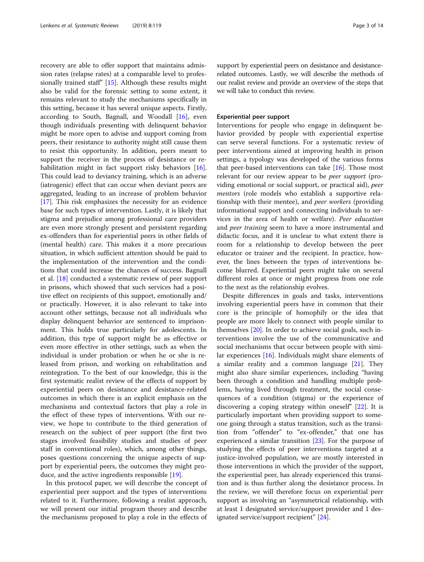recovery are able to offer support that maintains admission rates (relapse rates) at a comparable level to professionally trained staff" [[15\]](#page-13-0). Although these results might also be valid for the forensic setting to some extent, it remains relevant to study the mechanisms specifically in this setting, because it has several unique aspects. Firstly, according to South, Bagnall, and Woodall [[16\]](#page-13-0), even though individuals presenting with delinquent behavior might be more open to advise and support coming from peers, their resistance to authority might still cause them to resist this opportunity. In addition, peers meant to support the receiver in the process of desistance or re-habilitation might in fact support risky behaviors [\[16](#page-13-0)]. This could lead to deviancy training, which is an adverse (iatrogenic) effect that can occur when deviant peers are aggregated, leading to an increase of problem behavior [[17\]](#page-13-0). This risk emphasizes the necessity for an evidence base for such types of intervention. Lastly, it is likely that stigma and prejudice among professional care providers are even more strongly present and persistent regarding ex-offenders than for experiential peers in other fields of (mental health) care. This makes it a more precarious situation, in which sufficient attention should be paid to the implementation of the intervention and the conditions that could increase the chances of success. Bagnall et al. [[18\]](#page-13-0) conducted a systematic review of peer support in prisons, which showed that such services had a positive effect on recipients of this support, emotionally and/ or practically. However, it is also relevant to take into account other settings, because not all individuals who display delinquent behavior are sentenced to imprisonment. This holds true particularly for adolescents. In addition, this type of support might be as effective or even more effective in other settings, such as when the individual is under probation or when he or she is released from prison, and working on rehabilitation and reintegration. To the best of our knowledge, this is the first systematic realist review of the effects of support by experiential peers on desistance and desistance-related outcomes in which there is an explicit emphasis on the mechanisms and contextual factors that play a role in the effect of these types of interventions. With our review, we hope to contribute to the third generation of research on the subject of peer support (the first two stages involved feasibility studies and studies of peer staff in conventional roles), which, among other things, poses questions concerning the unique aspects of support by experiential peers, the outcomes they might produce, and the active ingredients responsible [[19\]](#page-13-0).

In this protocol paper, we will describe the concept of experiential peer support and the types of interventions related to it. Furthermore, following a realist approach, we will present our initial program theory and describe the mechanisms proposed to play a role in the effects of support by experiential peers on desistance and desistancerelated outcomes. Lastly, we will describe the methods of our realist review and provide an overview of the steps that we will take to conduct this review.

#### Experiential peer support

Interventions for people who engage in delinquent behavior provided by people with experiential expertise can serve several functions. For a systematic review of peer interventions aimed at improving health in prison settings, a typology was developed of the various forms that peer-based interventions can take  $[16]$  $[16]$ . Those most relevant for our review appear to be peer support (providing emotional or social support, or practical aid), peer mentors (role models who establish a supportive relationship with their mentee), and peer workers (providing informational support and connecting individuals to services in the area of health or welfare). Peer education and *peer training* seem to have a more instrumental and didactic focus, and it is unclear to what extent there is room for a relationship to develop between the peer educator or trainer and the recipient. In practice, however, the lines between the types of interventions become blurred. Experiential peers might take on several different roles at once or might progress from one role to the next as the relationship evolves.

Despite differences in goals and tasks, interventions involving experiential peers have in common that their core is the principle of homophily or the idea that people are more likely to connect with people similar to themselves [\[20](#page-13-0)]. In order to achieve social goals, such interventions involve the use of the communicative and social mechanisms that occur between people with similar experiences [\[16](#page-13-0)]. Individuals might share elements of a similar reality and a common language [\[21\]](#page-13-0). They might also share similar experiences, including "having been through a condition and handling multiple problems, having lived through treatment, the social consequences of a condition (stigma) or the experience of discovering a coping strategy within oneself" [[22\]](#page-13-0). It is particularly important when providing support to someone going through a status transition, such as the transition from "offender" to "ex-offender," that one has experienced a similar transition [\[23\]](#page-13-0). For the purpose of studying the effects of peer interventions targeted at a justice-involved population, we are mostly interested in those interventions in which the provider of the support, the experiential peer, has already experienced this transition and is thus further along the desistance process. In the review, we will therefore focus on experiential peer support as involving an "asymmetrical relationship, with at least 1 designated service/support provider and 1 designated service/support recipient" [\[24\]](#page-13-0).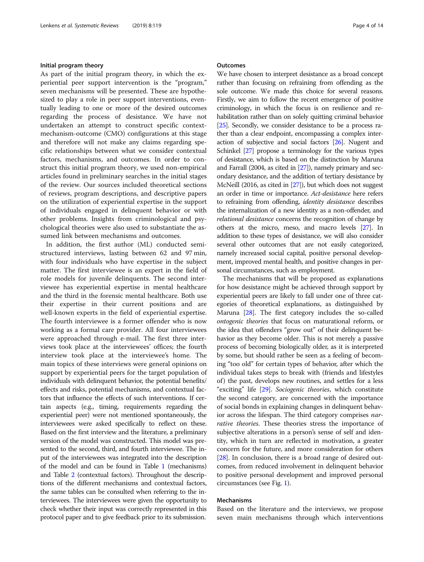#### Initial program theory

As part of the initial program theory, in which the experiential peer support intervention is the "program," seven mechanisms will be presented. These are hypothesized to play a role in peer support interventions, eventually leading to one or more of the desired outcomes regarding the process of desistance. We have not undertaken an attempt to construct specific contextmechanism-outcome (CMO) configurations at this stage and therefore will not make any claims regarding specific relationships between what we consider contextual factors, mechanisms, and outcomes. In order to construct this initial program theory, we used non-empirical articles found in preliminary searches in the initial stages of the review. Our sources included theoretical sections of reviews, program descriptions, and descriptive papers on the utilization of experiential expertise in the support of individuals engaged in delinquent behavior or with other problems. Insights from criminological and psychological theories were also used to substantiate the assumed link between mechanisms and outcomes.

In addition, the first author (ML) conducted semistructured interviews, lasting between 62 and 97 min, with four individuals who have expertise in the subject matter. The first interviewee is an expert in the field of role models for juvenile delinquents. The second interviewee has experiential expertise in mental healthcare and the third in the forensic mental healthcare. Both use their expertise in their current positions and are well-known experts in the field of experiential expertise. The fourth interviewee is a former offender who is now working as a formal care provider. All four interviewees were approached through e-mail. The first three interviews took place at the interviewees' offices; the fourth interview took place at the interviewee's home. The main topics of these interviews were general opinions on support by experiential peers for the target population of individuals with delinquent behavior, the potential benefits/ effects and risks, potential mechanisms, and contextual factors that influence the effects of such interventions. If certain aspects (e.g., timing, requirements regarding the experiential peer) were not mentioned spontaneously, the interviewees were asked specifically to reflect on these. Based on the first interview and the literature, a preliminary version of the model was constructed. This model was presented to the second, third, and fourth interviewee. The input of the interviewees was integrated into the description of the model and can be found in Table [1](#page-4-0) (mechanisms) and Table [2](#page-4-0) (contextual factors). Throughout the descriptions of the different mechanisms and contextual factors, the same tables can be consulted when referring to the interviewees. The interviewees were given the opportunity to check whether their input was correctly represented in this protocol paper and to give feedback prior to its submission.

#### **Outcomes**

We have chosen to interpret desistance as a broad concept rather than focusing on refraining from offending as the sole outcome. We made this choice for several reasons. Firstly, we aim to follow the recent emergence of positive criminology, in which the focus is on resilience and rehabilitation rather than on solely quitting criminal behavior [[25](#page-13-0)]. Secondly, we consider desistance to be a process rather than a clear endpoint, encompassing a complex interaction of subjective and social factors [\[26\]](#page-13-0). Nugent and Schinkel [[27](#page-13-0)] propose a terminology for the various types of desistance, which is based on the distinction by Maruna and Farrall (2004, as cited in [\[27\]](#page-13-0)), namely primary and secondary desistance, and the addition of tertiary desistance by McNeill (2016, as cited in [\[27\]](#page-13-0)), but which does not suggest an order in time or importance. Act-desistance here refers to refraining from offending, identity desistance describes the internalization of a new identity as a non-offender, and relational desistance concerns the recognition of change by others at the micro, meso, and macro levels [\[27\]](#page-13-0). In addition to these types of desistance, we will also consider several other outcomes that are not easily categorized, namely increased social capital, positive personal development, improved mental health, and positive changes in personal circumstances, such as employment.

The mechanisms that will be proposed as explanations for how desistance might be achieved through support by experiential peers are likely to fall under one of three categories of theoretical explanations, as distinguished by Maruna [\[28\]](#page-13-0). The first category includes the so-called ontogenic theories that focus on maturational reform, or the idea that offenders "grow out" of their delinquent behavior as they become older. This is not merely a passive process of becoming biologically older, as it is interpreted by some, but should rather be seen as a feeling of becoming "too old" for certain types of behavior, after which the individual takes steps to break with (friends and lifestyles of ) the past, develops new routines, and settles for a less "exciting" life [[29](#page-13-0)]. Sociogenic theories, which constitute the second category, are concerned with the importance of social bonds in explaining changes in delinquent behavior across the lifespan. The third category comprises narrative theories. These theories stress the importance of subjective alterations in a person's sense of self and identity, which in turn are reflected in motivation, a greater concern for the future, and more consideration for others [[28](#page-13-0)]. In conclusion, there is a broad range of desired outcomes, from reduced involvement in delinquent behavior to positive personal development and improved personal circumstances (see Fig. [1\)](#page-5-0).

#### Mechanisms

Based on the literature and the interviews, we propose seven main mechanisms through which interventions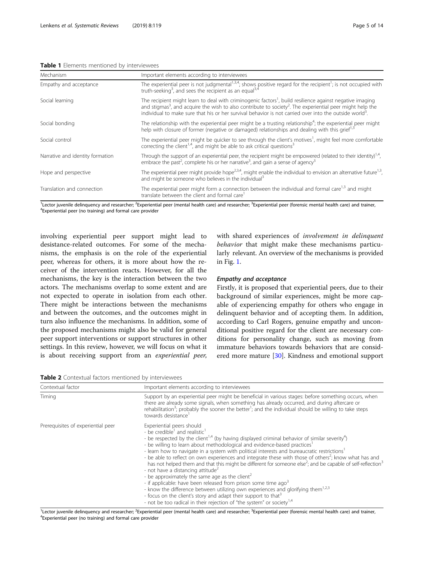<span id="page-4-0"></span>Table 1 Elements mentioned by interviewees

| Mechanism                        | Important elements according to interviewees                                                                                                                                                                                                                                                                                                                                     |  |
|----------------------------------|----------------------------------------------------------------------------------------------------------------------------------------------------------------------------------------------------------------------------------------------------------------------------------------------------------------------------------------------------------------------------------|--|
| Empathy and acceptance           | The experiential peer is not judgmental <sup>1,3,4</sup> ; shows positive regard for the recipient <sup>1</sup> ; is not occupied with truth-seeking <sup>3</sup> , and sees the recipient as an equal <sup>3,4</sup>                                                                                                                                                            |  |
| Social learning                  | The recipient might learn to deal with criminogenic factors <sup>1</sup> , build resilience against negative imaging<br>and stigmas <sup>3</sup> , and acquire the wish to also contribute to society <sup>2</sup> . The experiential peer might help the<br>individual to make sure that his or her survival behavior is not carried over into the outside world <sup>3</sup> . |  |
| Social bonding                   | The relationship with the experiential peer might be a trusting relationship <sup>4</sup> ; the experiential peer might<br>help with closure of former (negative or damaged) relationships and dealing with this grief <sup>1,3</sup>                                                                                                                                            |  |
| Social control                   | The experiential peer might be quicker to see through the client's motives <sup>1</sup> , might feel more comfortable<br>correcting the client <sup>1,4</sup> , and might be able to ask critical questions <sup>3</sup>                                                                                                                                                         |  |
| Narrative and identity formation | Through the support of an experiential peer, the recipient might be empowered (related to their identity) <sup>1,4</sup> ,<br>embrace the past <sup>2</sup> , complete his or her narrative <sup>3</sup> , and gain a sense of agency <sup>3</sup>                                                                                                                               |  |
| Hope and perspective             | The experiential peer might provide hope <sup>2,3,4</sup> , might enable the individual to envision an alternative future <sup>1,3</sup> ,<br>and might be someone who believes in the individual <sup>3</sup>                                                                                                                                                                   |  |
| Translation and connection       | The experiential peer might form a connection between the individual and formal care <sup>1,3</sup> and might<br>translate between the client and formal care <sup>1</sup>                                                                                                                                                                                                       |  |

<sup>1</sup> Lector juvenile delinquency and researcher; <sup>2</sup> Experiential peer (mental health care) and researcher; <sup>3</sup> Experiential peer (forensic mental health care) and trainer, <sup>4</sup> Experiential peer (prensic mental health care) Experiential peer (no training) and formal care provider

involving experiential peer support might lead to desistance-related outcomes. For some of the mechanisms, the emphasis is on the role of the experiential peer, whereas for others, it is more about how the receiver of the intervention reacts. However, for all the mechanisms, the key is the interaction between the two actors. The mechanisms overlap to some extent and are not expected to operate in isolation from each other. There might be interactions between the mechanisms and between the outcomes, and the outcomes might in turn also influence the mechanisms. In addition, some of the proposed mechanisms might also be valid for general peer support interventions or support structures in other settings. In this review, however, we will focus on what it is about receiving support from an experiential peer,

with shared experiences of involvement in delinquent behavior that might make these mechanisms particularly relevant. An overview of the mechanisms is provided in Fig. [1.](#page-5-0)

#### Empathy and acceptance

Firstly, it is proposed that experiential peers, due to their background of similar experiences, might be more capable of experiencing empathy for others who engage in delinquent behavior and of accepting them. In addition, according to Carl Rogers, genuine empathy and unconditional positive regard for the client are necessary conditions for personality change, such as moving from immature behaviors towards behaviors that are considered more mature [[30\]](#page-13-0). Kindness and emotional support

Table 2 Contextual factors mentioned by interviewees

| Contextual factor                  | Important elements according to interviewees                                                                                                                                                                                                                                                                                                                                                                                                                                                                                                                                                                                                                                                                                                                                                                                                                                                                                                                                                                                                                                                                                               |  |
|------------------------------------|--------------------------------------------------------------------------------------------------------------------------------------------------------------------------------------------------------------------------------------------------------------------------------------------------------------------------------------------------------------------------------------------------------------------------------------------------------------------------------------------------------------------------------------------------------------------------------------------------------------------------------------------------------------------------------------------------------------------------------------------------------------------------------------------------------------------------------------------------------------------------------------------------------------------------------------------------------------------------------------------------------------------------------------------------------------------------------------------------------------------------------------------|--|
| Timing                             | Support by an experiential peer might be beneficial in various stages: before something occurs, when<br>there are already some signals, when something has already occurred, and during aftercare or<br>rehabilitation <sup>3</sup> ; probably the sooner the better <sup>1</sup> ; and the individual should be willing to take steps<br>towards desistance <sup>1</sup>                                                                                                                                                                                                                                                                                                                                                                                                                                                                                                                                                                                                                                                                                                                                                                  |  |
| Prerequisites of experiential peer | Experiential peers should<br>- be credible <sup>1</sup> and realistic <sup>1</sup><br>- be respected by the client <sup>1,4</sup> (by having displayed criminal behavior of similar severity <sup>4</sup> )<br>- be willing to learn about methodological and evidence-based practices <sup>1</sup><br>- learn how to navigate in a system with political interests and bureaucratic restrictions <sup>1</sup><br>- be able to reflect on own experiences and integrate these with those of others <sup>2</sup> ; know what has and<br>has not helped them and that this might be different for someone else <sup>2</sup> , and be capable of self-reflection <sup>3</sup><br>- not have a distancing attitude <sup>2</sup><br>- be approximately the same age as the client <sup>2</sup><br>- if applicable: have been released from prison some time ago <sup>3</sup><br>- know the difference between utilizing own experiences and glorifying them <sup>1,2,3</sup><br>- focus on the client's story and adapt their support to that <sup>3</sup><br>- not be too radical in their rejection of "the system" or society <sup>1,4</sup> |  |

<sup>1</sup> Lector juvenile delinquency and researcher; <sup>2</sup> Experiential peer (mental health care) and researcher; <sup>3</sup> Experiential peer (forensic mental health care) and trainer, <sup>4</sup> Experiential peer (prensic mental health care) Experiential peer (no training) and formal care provider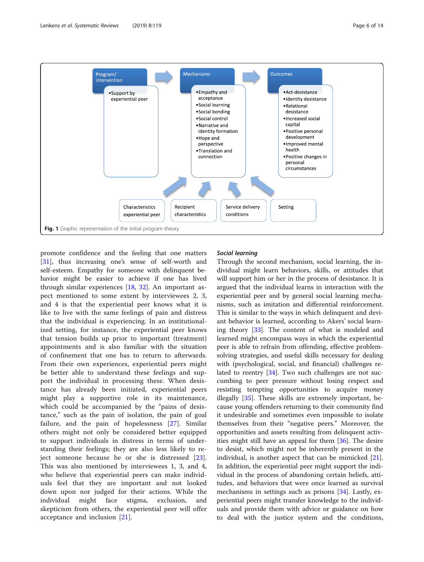<span id="page-5-0"></span>

promote confidence and the feeling that one matters [[31\]](#page-13-0), thus increasing one's sense of self-worth and self-esteem. Empathy for someone with delinquent behavior might be easier to achieve if one has lived through similar experiences [\[18](#page-13-0), [32](#page-13-0)]. An important aspect mentioned to some extent by interviewees 2, 3, and 4 is that the experiential peer knows what it is like to live with the same feelings of pain and distress that the individual is experiencing. In an institutionalized setting, for instance, the experiential peer knows that tension builds up prior to important (treatment) appointments and is also familiar with the situation of confinement that one has to return to afterwards. From their own experiences, experiential peers might be better able to understand these feelings and support the individual in processing these. When desistance has already been initiated, experiential peers might play a supportive role in its maintenance, which could be accompanied by the "pains of desistance," such as the pain of isolation, the pain of goal failure, and the pain of hopelessness [[27\]](#page-13-0). Similar others might not only be considered better equipped to support individuals in distress in terms of understanding their feelings; they are also less likely to reject someone because he or she is distressed [\[23](#page-13-0)]. This was also mentioned by interviewees 1, 3, and 4, who believe that experiential peers can make individuals feel that they are important and not looked down upon nor judged for their actions. While the individual might face stigma, exclusion, and skepticism from others, the experiential peer will offer acceptance and inclusion [\[21](#page-13-0)].

#### Social learning

Through the second mechanism, social learning, the individual might learn behaviors, skills, or attitudes that will support him or her in the process of desistance. It is argued that the individual learns in interaction with the experiential peer and by general social learning mechanisms, such as imitation and differential reinforcement. This is similar to the ways in which delinquent and deviant behavior is learned, according to Akers' social learning theory [[33\]](#page-13-0). The content of what is modeled and learned might encompass ways in which the experiential peer is able to refrain from offending, effective problemsolving strategies, and useful skills necessary for dealing with (psychological, social, and financial) challenges related to reentry [[34\]](#page-13-0). Two such challenges are not succumbing to peer pressure without losing respect and resisting tempting opportunities to acquire money illegally [\[35\]](#page-13-0). These skills are extremely important, because young offenders returning to their community find it undesirable and sometimes even impossible to isolate themselves from their "negative peers." Moreover, the opportunities and assets resulting from delinquent activ-ities might still have an appeal for them [[36](#page-13-0)]. The desire to desist, which might not be inherently present in the individual, is another aspect that can be mimicked [\[21](#page-13-0)]. In addition, the experiential peer might support the individual in the process of abandoning certain beliefs, attitudes, and behaviors that were once learned as survival mechanisms in settings such as prisons [[34\]](#page-13-0). Lastly, experiential peers might transfer knowledge to the individuals and provide them with advice or guidance on how to deal with the justice system and the conditions,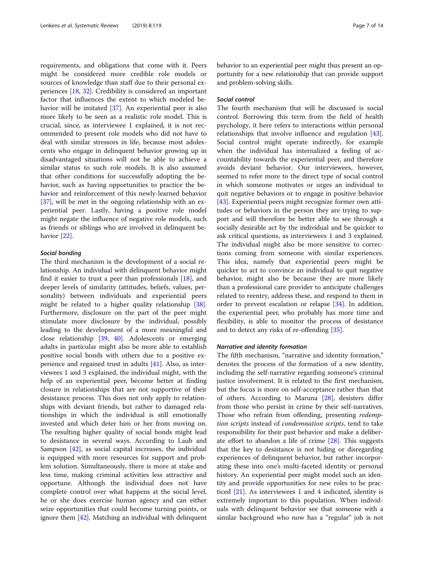requirements, and obligations that come with it. Peers might be considered more credible role models or sources of knowledge than staff due to their personal experiences [\[18,](#page-13-0) [32\]](#page-13-0). Credibility is considered an important factor that influences the extent to which modeled be-havior will be imitated [\[37](#page-13-0)]. An experiential peer is also more likely to be seen as a realistic role model. This is crucial, since, as interviewee 1 explained, it is not recommended to present role models who did not have to deal with similar stressors in life, because most adolescents who engage in delinquent behavior growing up in disadvantaged situations will not be able to achieve a similar status to such role models. It is also assumed that other conditions for successfully adopting the behavior, such as having opportunities to practice the behavior and reinforcement of this newly-learned behavior [[37\]](#page-13-0), will be met in the ongoing relationship with an experiential peer. Lastly, having a positive role model might negate the influence of negative role models, such as friends or siblings who are involved in delinquent behavior [\[22](#page-13-0)].

#### Social bonding

The third mechanism is the development of a social relationship. An individual with delinquent behavior might find it easier to trust a peer than professionals [[18\]](#page-13-0), and deeper levels of similarity (attitudes, beliefs, values, personality) between individuals and experiential peers might be related to a higher quality relationship [\[38](#page-13-0)]. Furthermore, disclosure on the part of the peer might stimulate more disclosure by the individual, possibly leading to the development of a more meaningful and close relationship [\[39](#page-13-0), [40\]](#page-13-0). Adolescents or emerging adults in particular might also be more able to establish positive social bonds with others due to a positive experience and regained trust in adults [[41](#page-13-0)]. Also, as interviewees 1 and 3 explained, the individual might, with the help of an experiential peer, become better at finding closure in relationships that are not supportive of their desistance process. This does not only apply to relationships with deviant friends, but rather to damaged relationships in which the individual is still emotionally invested and which deter him or her from moving on. The resulting higher quality of social bonds might lead to desistance in several ways. According to Laub and Sampson [\[42\]](#page-13-0), as social capital increases, the individual is equipped with more resources for support and problem solution. Simultaneously, there is more at stake and less time, making criminal activities less attractive and opportune. Although the individual does not have complete control over what happens at the social level, he or she does exercise human agency and can either seize opportunities that could become turning points, or ignore them [\[42\]](#page-13-0). Matching an individual with delinquent

behavior to an experiential peer might thus present an opportunity for a new relationship that can provide support and problem-solving skills.

#### Social control

The fourth mechanism that will be discussed is social control. Borrowing this term from the field of health psychology, it here refers to interactions within personal relationships that involve influence and regulation [\[43](#page-13-0)]. Social control might operate indirectly, for example when the individual has internalized a feeling of accountability towards the experiential peer, and therefore avoids deviant behavior. Our interviewees, however, seemed to refer more to the direct type of social control in which someone motivates or urges an individual to quit negative behaviors or to engage in positive behavior [[43\]](#page-13-0). Experiential peers might recognize former own attitudes or behaviors in the person they are trying to support and will therefore be better able to see through a socially desirable act by the individual and be quicker to ask critical questions, as interviewees 1 and 3 explained. The individual might also be more sensitive to corrections coming from someone with similar experiences. This idea, namely that experiential peers might be quicker to act to convince an individual to quit negative behavior, might also be because they are more likely than a professional care provider to anticipate challenges related to reentry, address these, and respond to them in order to prevent escalation or relapse [[34\]](#page-13-0). In addition, the experiential peer, who probably has more time and flexibility, is able to monitor the process of desistance and to detect any risks of re-offending [[35\]](#page-13-0).

#### Narrative and identity formation

The fifth mechanism, "narrative and identity formation," denotes the process of the formation of a new identity, including the self-narrative regarding someone's criminal justice involvement. It is related to the first mechanism, but the focus is more on self-acceptance rather than that of others. According to Maruna [\[28](#page-13-0)], desisters differ from those who persist in crime by their self-narratives. Those who refrain from offending, presenting *redemp*tion scripts instead of condemnation scripts, tend to take responsibility for their past behavior and make a deliberate effort to abandon a life of crime [[28\]](#page-13-0). This suggests that the key to desistance is not hiding or disregarding experiences of delinquent behavior, but rather incorporating these into one's multi-faceted identity or personal history. An experiential peer might model such an identity and provide opportunities for new roles to be practiced [\[21](#page-13-0)]. As interviewees 1 and 4 indicated, identity is extremely important to this population. When individuals with delinquent behavior see that someone with a similar background who now has a "regular" job is not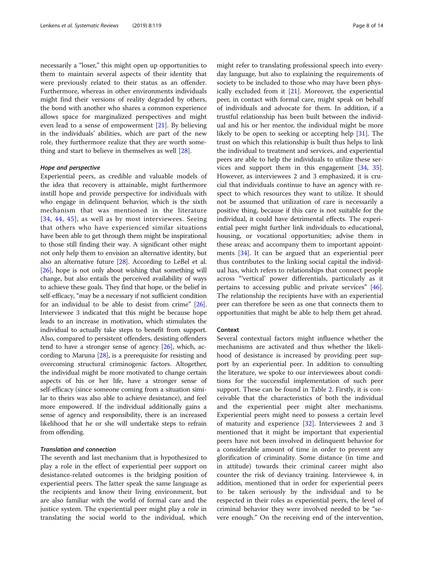necessarily a "loser," this might open up opportunities to them to maintain several aspects of their identity that were previously related to their status as an offender. Furthermore, whereas in other environments individuals might find their versions of reality degraded by others, the bond with another who shares a common experience allows space for marginalized perspectives and might even lead to a sense of empowerment [[21\]](#page-13-0). By believing in the individuals' abilities, which are part of the new role, they furthermore realize that they are worth something and start to believe in themselves as well [\[28\]](#page-13-0).

#### Hope and perspective

Experiential peers, as credible and valuable models of the idea that recovery is attainable, might furthermore instill hope and provide perspective for individuals with who engage in delinquent behavior, which is the sixth mechanism that was mentioned in the literature [[34,](#page-13-0) [44,](#page-13-0) [45\]](#page-13-0), as well as by most interviewees. Seeing that others who have experienced similar situations have been able to get through them might be inspirational to those still finding their way. A significant other might not only help them to envision an alternative identity, but also an alternative future [\[28\]](#page-13-0). According to LeBel et al. [[26](#page-13-0)], hope is not only about wishing that something will change, but also entails the perceived availability of ways to achieve these goals. They find that hope, or the belief in self-efficacy, "may be a necessary if not sufficient condition for an individual to be able to desist from crime" [[26](#page-13-0)]. Interviewee 3 indicated that this might be because hope leads to an increase in motivation, which stimulates the individual to actually take steps to benefit from support. Also, compared to persistent offenders, desisting offenders tend to have a stronger sense of agency  $[26]$  $[26]$  $[26]$ , which, according to Maruna [[28](#page-13-0)], is a prerequisite for resisting and overcoming structural criminogenic factors. Altogether, the individual might be more motivated to change certain aspects of his or her life, have a stronger sense of self-efficacy (since someone coming from a situation similar to theirs was also able to achieve desistance), and feel more empowered. If the individual additionally gains a sense of agency and responsibility, there is an increased likelihood that he or she will undertake steps to refrain from offending.

#### Translation and connection

The seventh and last mechanism that is hypothesized to play a role in the effect of experiential peer support on desistance-related outcomes is the bridging position of experiential peers. The latter speak the same language as the recipients and know their living environment, but are also familiar with the world of formal care and the justice system. The experiential peer might play a role in translating the social world to the individual, which might refer to translating professional speech into everyday language, but also to explaining the requirements of society to be included to those who may have been physically excluded from it [\[21](#page-13-0)]. Moreover, the experiential peer, in contact with formal care, might speak on behalf of individuals and advocate for them. In addition, if a trustful relationship has been built between the individual and his or her mentor, the individual might be more likely to be open to seeking or accepting help [[31](#page-13-0)]. The trust on which this relationship is built thus helps to link the individual to treatment and services, and experiential peers are able to help the individuals to utilize these services and support them in this engagement [[34,](#page-13-0) [35](#page-13-0)]. However, as interviewees 2 and 3 emphasized, it is crucial that individuals continue to have an agency with respect to which resources they want to utilize. It should not be assumed that utilization of care is necessarily a positive thing, because if this care is not suitable for the individual, it could have detrimental effects. The experiential peer might further link individuals to educational, housing, or vocational opportunities; advise them in these areas; and accompany them to important appointments [[34](#page-13-0)]. It can be argued that an experiential peer thus contributes to the linking social capital the individual has, which refers to relationships that connect people across "'vertical' power differentials, particularly as it pertains to accessing public and private services" [\[46](#page-13-0)]. The relationship the recipients have with an experiential peer can therefore be seen as one that connects them to opportunities that might be able to help them get ahead.

#### Context

Several contextual factors might influence whether the mechanisms are activated and thus whether the likelihood of desistance is increased by providing peer support by an experiential peer. In addition to consulting the literature, we spoke to our interviewees about conditions for the successful implementation of such peer support. These can be found in Table [2](#page-4-0). Firstly, it is conceivable that the characteristics of both the individual and the experiential peer might alter mechanisms. Experiential peers might need to possess a certain level of maturity and experience [\[32](#page-13-0)]. Interviewees 2 and 3 mentioned that it might be important that experiential peers have not been involved in delinquent behavior for a considerable amount of time in order to prevent any glorification of criminality. Some distance (in time and in attitude) towards their criminal career might also counter the risk of deviancy training. Interviewee 4, in addition, mentioned that in order for experiential peers to be taken seriously by the individual and to be respected in their roles as experiential peers, the level of criminal behavior they were involved needed to be "severe enough." On the receiving end of the intervention,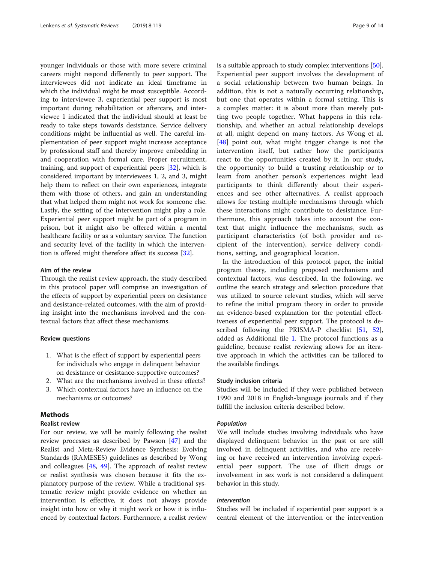younger individuals or those with more severe criminal careers might respond differently to peer support. The interviewees did not indicate an ideal timeframe in which the individual might be most susceptible. According to interviewee 3, experiential peer support is most important during rehabilitation or aftercare, and interviewee 1 indicated that the individual should at least be ready to take steps towards desistance. Service delivery conditions might be influential as well. The careful implementation of peer support might increase acceptance by professional staff and thereby improve embedding in and cooperation with formal care. Proper recruitment, training, and support of experiential peers [[32\]](#page-13-0), which is considered important by interviewees 1, 2, and 3, might help them to reflect on their own experiences, integrate them with those of others, and gain an understanding that what helped them might not work for someone else. Lastly, the setting of the intervention might play a role. Experiential peer support might be part of a program in prison, but it might also be offered within a mental healthcare facility or as a voluntary service. The function and security level of the facility in which the intervention is offered might therefore affect its success [\[32\]](#page-13-0).

#### Aim of the review

Through the realist review approach, the study described in this protocol paper will comprise an investigation of the effects of support by experiential peers on desistance and desistance-related outcomes, with the aim of providing insight into the mechanisms involved and the contextual factors that affect these mechanisms.

#### Review questions

- 1. What is the effect of support by experiential peers for individuals who engage in delinquent behavior on desistance or desistance-supportive outcomes?
- 2. What are the mechanisms involved in these effects?
- 3. Which contextual factors have an influence on the mechanisms or outcomes?

#### **Methods**

#### Realist review

For our review, we will be mainly following the realist review processes as described by Pawson [\[47](#page-13-0)] and the Realist and Meta-Review Evidence Synthesis: Evolving Standards (RAMESES) guidelines as described by Wong and colleagues [[48,](#page-13-0) [49](#page-13-0)]. The approach of realist review or realist synthesis was chosen because it fits the explanatory purpose of the review. While a traditional systematic review might provide evidence on whether an intervention is effective, it does not always provide insight into how or why it might work or how it is influenced by contextual factors. Furthermore, a realist review is a suitable approach to study complex interventions [[50](#page-13-0)]. Experiential peer support involves the development of a social relationship between two human beings. In addition, this is not a naturally occurring relationship, but one that operates within a formal setting. This is a complex matter: it is about more than merely putting two people together. What happens in this relationship, and whether an actual relationship develops at all, might depend on many factors. As Wong et al. [[48\]](#page-13-0) point out, what might trigger change is not the intervention itself, but rather how the participants react to the opportunities created by it. In our study, the opportunity to build a trusting relationship or to learn from another person's experiences might lead participants to think differently about their experiences and see other alternatives. A realist approach allows for testing multiple mechanisms through which these interactions might contribute to desistance. Furthermore, this approach takes into account the context that might influence the mechanisms, such as participant characteristics (of both provider and recipient of the intervention), service delivery conditions, setting, and geographical location.

In the introduction of this protocol paper, the initial program theory, including proposed mechanisms and contextual factors, was described. In the following, we outline the search strategy and selection procedure that was utilized to source relevant studies, which will serve to refine the initial program theory in order to provide an evidence-based explanation for the potential effectiveness of experiential peer support. The protocol is described following the PRISMA-P checklist [\[51](#page-13-0), [52](#page-13-0)], added as Additional file [1](#page-12-0). The protocol functions as a guideline, because realist reviewing allows for an iterative approach in which the activities can be tailored to the available findings.

#### Study inclusion criteria

Studies will be included if they were published between 1990 and 2018 in English-language journals and if they fulfill the inclusion criteria described below.

#### Population

We will include studies involving individuals who have displayed delinquent behavior in the past or are still involved in delinquent activities, and who are receiving or have received an intervention involving experiential peer support. The use of illicit drugs or involvement in sex work is not considered a delinquent behavior in this study.

#### Intervention

Studies will be included if experiential peer support is a central element of the intervention or the intervention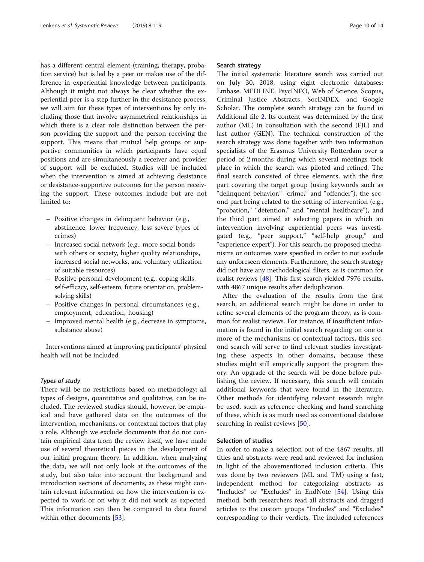has a different central element (training, therapy, probation service) but is led by a peer or makes use of the difference in experiential knowledge between participants. Although it might not always be clear whether the experiential peer is a step further in the desistance process, we will aim for these types of interventions by only including those that involve asymmetrical relationships in which there is a clear role distinction between the person providing the support and the person receiving the support. This means that mutual help groups or supportive communities in which participants have equal positions and are simultaneously a receiver and provider of support will be excluded. Studies will be included when the intervention is aimed at achieving desistance or desistance-supportive outcomes for the person receiving the support. These outcomes include but are not limited to:

- Positive changes in delinquent behavior (e.g., abstinence, lower frequency, less severe types of crimes)
- Increased social network (e.g., more social bonds with others or society, higher quality relationships, increased social networks, and voluntary utilization of suitable resources)
- Positive personal development (e.g., coping skills, self-efficacy, self-esteem, future orientation, problemsolving skills)
- Positive changes in personal circumstances (e.g., employment, education, housing)
- Improved mental health (e.g., decrease in symptoms, substance abuse)

Interventions aimed at improving participants' physical health will not be included.

#### Types of study

There will be no restrictions based on methodology: all types of designs, quantitative and qualitative, can be included. The reviewed studies should, however, be empirical and have gathered data on the outcomes of the intervention, mechanisms, or contextual factors that play a role. Although we exclude documents that do not contain empirical data from the review itself, we have made use of several theoretical pieces in the development of our initial program theory. In addition, when analyzing the data, we will not only look at the outcomes of the study, but also take into account the background and introduction sections of documents, as these might contain relevant information on how the intervention is expected to work or on why it did not work as expected. This information can then be compared to data found within other documents [\[53](#page-13-0)].

#### Search strategy

The initial systematic literature search was carried out on July 30, 2018, using eight electronic databases: Embase, MEDLINE, PsycINFO, Web of Science, Scopus, Criminal Justice Abstracts, SocINDEX, and Google Scholar. The complete search strategy can be found in Additional file [2.](#page-12-0) Its content was determined by the first author (ML) in consultation with the second (FJL) and last author (GEN). The technical construction of the search strategy was done together with two information specialists of the Erasmus University Rotterdam over a period of 2 months during which several meetings took place in which the search was piloted and refined. The final search consisted of three elements, with the first part covering the target group (using keywords such as "delinquent behavior," "crime," and "offender"), the second part being related to the setting of intervention (e.g., "probation," "detention," and "mental healthcare"), and the third part aimed at selecting papers in which an intervention involving experiential peers was investigated (e.g., "peer support," "self-help group," and "experience expert"). For this search, no proposed mechanisms or outcomes were specified in order to not exclude any unforeseen elements. Furthermore, the search strategy did not have any methodological filters, as is common for realist reviews [\[48\]](#page-13-0). This first search yielded 7976 results, with 4867 unique results after deduplication.

After the evaluation of the results from the first search, an additional search might be done in order to refine several elements of the program theory, as is common for realist reviews. For instance, if insufficient information is found in the initial search regarding on one or more of the mechanisms or contextual factors, this second search will serve to find relevant studies investigating these aspects in other domains, because these studies might still empirically support the program theory. An upgrade of the search will be done before publishing the review. If necessary, this search will contain additional keywords that were found in the literature. Other methods for identifying relevant research might be used, such as reference checking and hand searching of these, which is as much used as conventional database searching in realist reviews [\[50\]](#page-13-0).

#### Selection of studies

In order to make a selection out of the 4867 results, all titles and abstracts were read and reviewed for inclusion in light of the abovementioned inclusion criteria. This was done by two reviewers (ML and TM) using a fast, independent method for categorizing abstracts as "Includes" or "Excludes" in EndNote [[54\]](#page-13-0). Using this method, both researchers read all abstracts and dragged articles to the custom groups "Includes" and "Excludes" corresponding to their verdicts. The included references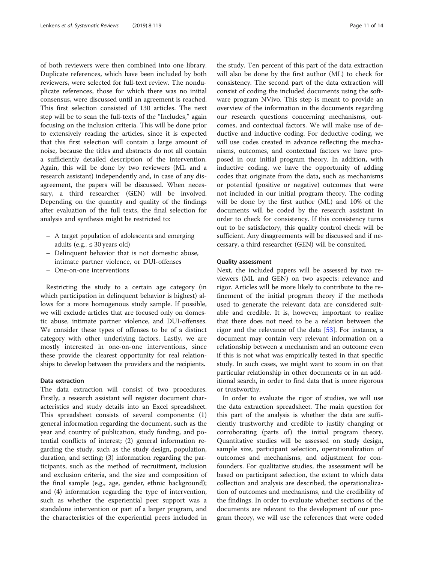of both reviewers were then combined into one library. Duplicate references, which have been included by both reviewers, were selected for full-text review. The nonduplicate references, those for which there was no initial consensus, were discussed until an agreement is reached. This first selection consisted of 130 articles. The next step will be to scan the full-texts of the "Includes," again focusing on the inclusion criteria. This will be done prior to extensively reading the articles, since it is expected that this first selection will contain a large amount of noise, because the titles and abstracts do not all contain a sufficiently detailed description of the intervention. Again, this will be done by two reviewers (ML and a research assistant) independently and, in case of any disagreement, the papers will be discussed. When necessary, a third researcher (GEN) will be involved. Depending on the quantity and quality of the findings after evaluation of the full texts, the final selection for analysis and synthesis might be restricted to:

- A target population of adolescents and emerging adults (e.g.,  $\leq 30$  years old)
- Delinquent behavior that is not domestic abuse, intimate partner violence, or DUI-offenses
- One-on-one interventions

Restricting the study to a certain age category (in which participation in delinquent behavior is highest) allows for a more homogenous study sample. If possible, we will exclude articles that are focused only on domestic abuse, intimate partner violence, and DUI-offenses. We consider these types of offenses to be of a distinct category with other underlying factors. Lastly, we are mostly interested in one-on-one interventions, since these provide the clearest opportunity for real relationships to develop between the providers and the recipients.

#### Data extraction

The data extraction will consist of two procedures. Firstly, a research assistant will register document characteristics and study details into an Excel spreadsheet. This spreadsheet consists of several components: (1) general information regarding the document, such as the year and country of publication, study funding, and potential conflicts of interest; (2) general information regarding the study, such as the study design, population, duration, and setting; (3) information regarding the participants, such as the method of recruitment, inclusion and exclusion criteria, and the size and composition of the final sample (e.g., age, gender, ethnic background); and (4) information regarding the type of intervention, such as whether the experiential peer support was a standalone intervention or part of a larger program, and the characteristics of the experiential peers included in

the study. Ten percent of this part of the data extraction will also be done by the first author (ML) to check for consistency. The second part of the data extraction will consist of coding the included documents using the software program NVivo. This step is meant to provide an overview of the information in the documents regarding our research questions concerning mechanisms, outcomes, and contextual factors. We will make use of deductive and inductive coding. For deductive coding, we will use codes created in advance reflecting the mechanisms, outcomes, and contextual factors we have proposed in our initial program theory. In addition, with inductive coding, we have the opportunity of adding codes that originate from the data, such as mechanisms or potential (positive or negative) outcomes that were not included in our initial program theory. The coding will be done by the first author (ML) and 10% of the documents will be coded by the research assistant in order to check for consistency. If this consistency turns out to be satisfactory, this quality control check will be sufficient. Any disagreements will be discussed and if necessary, a third researcher (GEN) will be consulted.

#### Quality assessment

Next, the included papers will be assessed by two reviewers (ML and GEN) on two aspects: relevance and rigor. Articles will be more likely to contribute to the refinement of the initial program theory if the methods used to generate the relevant data are considered suitable and credible. It is, however, important to realize that there does not need to be a relation between the rigor and the relevance of the data [\[53](#page-13-0)]. For instance, a document may contain very relevant information on a relationship between a mechanism and an outcome even if this is not what was empirically tested in that specific study. In such cases, we might want to zoom in on that particular relationship in other documents or in an additional search, in order to find data that is more rigorous or trustworthy.

In order to evaluate the rigor of studies, we will use the data extraction spreadsheet. The main question for this part of the analysis is whether the data are sufficiently trustworthy and credible to justify changing or corroborating (parts of) the initial program theory. Quantitative studies will be assessed on study design, sample size, participant selection, operationalization of outcomes and mechanisms, and adjustment for confounders. For qualitative studies, the assessment will be based on participant selection, the extent to which data collection and analysis are described, the operationalization of outcomes and mechanisms, and the credibility of the findings. In order to evaluate whether sections of the documents are relevant to the development of our program theory, we will use the references that were coded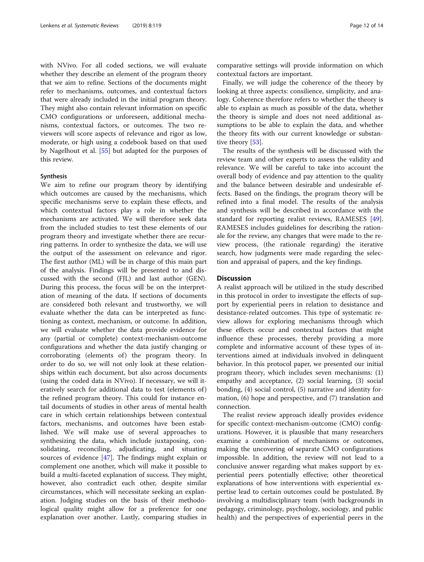with NVivo. For all coded sections, we will evaluate whether they describe an element of the program theory that we aim to refine. Sections of the documents might refer to mechanisms, outcomes, and contextual factors that were already included in the initial program theory. They might also contain relevant information on specific CMO configurations or unforeseen, additional mechanisms, contextual factors, or outcomes. The two reviewers will score aspects of relevance and rigor as low, moderate, or high using a codebook based on that used by Nagelhout et al. [\[55](#page-13-0)] but adapted for the purposes of this review.

#### Synthesis

We aim to refine our program theory by identifying which outcomes are caused by the mechanisms, which specific mechanisms serve to explain these effects, and which contextual factors play a role in whether the mechanisms are activated. We will therefore seek data from the included studies to test these elements of our program theory and investigate whether there are recurring patterns. In order to synthesize the data, we will use the output of the assessment on relevance and rigor. The first author (ML) will be in charge of this main part of the analysis. Findings will be presented to and discussed with the second (FJL) and last author (GEN). During this process, the focus will be on the interpretation of meaning of the data. If sections of documents are considered both relevant and trustworthy, we will evaluate whether the data can be interpreted as functioning as context, mechanism, or outcome. In addition, we will evaluate whether the data provide evidence for any (partial or complete) context-mechanism-outcome configurations and whether the data justify changing or corroborating (elements of) the program theory. In order to do so, we will not only look at these relationships within each document, but also across documents (using the coded data in NVivo). If necessary, we will iteratively search for additional data to test (elements of) the refined program theory. This could for instance entail documents of studies in other areas of mental health care in which certain relationships between contextual factors, mechanisms, and outcomes have been established. We will make use of several approaches to synthesizing the data, which include juxtaposing, consolidating, reconciling, adjudicating, and situating sources of evidence [\[47](#page-13-0)]. The findings might explain or complement one another, which will make it possible to build a multi-faceted explanation of success. They might, however, also contradict each other, despite similar circumstances, which will necessitate seeking an explanation. Judging studies on the basis of their methodological quality might allow for a preference for one explanation over another. Lastly, comparing studies in comparative settings will provide information on which contextual factors are important.

Finally, we will judge the coherence of the theory by looking at three aspects: consilience, simplicity, and analogy. Coherence therefore refers to whether the theory is able to explain as much as possible of the data, whether the theory is simple and does not need additional assumptions to be able to explain the data, and whether the theory fits with our current knowledge or substantive theory [[53](#page-13-0)].

The results of the synthesis will be discussed with the review team and other experts to assess the validity and relevance. We will be careful to take into account the overall body of evidence and pay attention to the quality and the balance between desirable and undesirable effects. Based on the findings, the program theory will be refined into a final model. The results of the analysis and synthesis will be described in accordance with the standard for reporting realist reviews, RAMESES [\[49](#page-13-0)]. RAMESES includes guidelines for describing the rationale for the review, any changes that were made to the review process, (the rationale regarding) the iterative search, how judgments were made regarding the selection and appraisal of papers, and the key findings.

#### **Discussion**

A realist approach will be utilized in the study described in this protocol in order to investigate the effects of support by experiential peers in relation to desistance and desistance-related outcomes. This type of systematic review allows for exploring mechanisms through which these effects occur and contextual factors that might influence these processes, thereby providing a more complete and informative account of these types of interventions aimed at individuals involved in delinquent behavior. In this protocol paper, we presented our initial program theory, which includes seven mechanisms: (1) empathy and acceptance, (2) social learning, (3) social bonding, (4) social control, (5) narrative and identity formation, (6) hope and perspective, and (7) translation and connection.

The realist review approach ideally provides evidence for specific context-mechanism-outcome (CMO) configurations. However, it is plausible that many researchers examine a combination of mechanisms or outcomes, making the uncovering of separate CMO configurations impossible. In addition, the review will not lead to a conclusive answer regarding what makes support by experiential peers potentially effective; other theoretical explanations of how interventions with experiential expertise lead to certain outcomes could be postulated. By involving a multidisciplinary team (with backgrounds in pedagogy, criminology, psychology, sociology, and public health) and the perspectives of experiential peers in the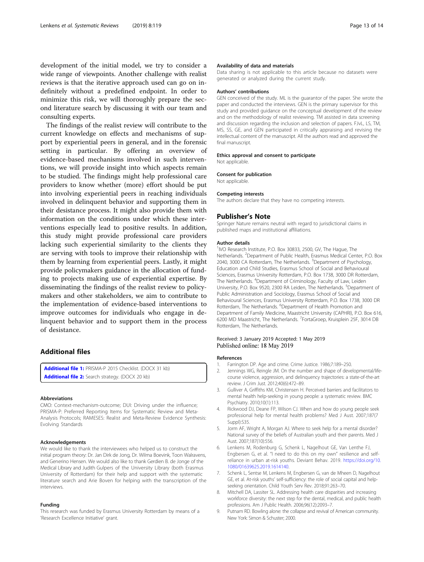<span id="page-12-0"></span>development of the initial model, we try to consider a wide range of viewpoints. Another challenge with realist reviews is that the iterative approach used can go on indefinitely without a predefined endpoint. In order to minimize this risk, we will thoroughly prepare the second literature search by discussing it with our team and consulting experts.

The findings of the realist review will contribute to the current knowledge on effects and mechanisms of support by experiential peers in general, and in the forensic setting in particular. By offering an overview of evidence-based mechanisms involved in such interventions, we will provide insight into which aspects remain to be studied. The findings might help professional care providers to know whether (more) effort should be put into involving experiential peers in reaching individuals involved in delinquent behavior and supporting them in their desistance process. It might also provide them with information on the conditions under which these interventions especially lead to positive results. In addition, this study might provide professional care providers lacking such experiential similarity to the clients they are serving with tools to improve their relationship with them by learning from experiential peers. Lastly, it might provide policymakers guidance in the allocation of funding to projects making use of experiential expertise. By disseminating the findings of the realist review to policymakers and other stakeholders, we aim to contribute to the implementation of evidence-based interventions to improve outcomes for individuals who engage in delinquent behavior and to support them in the process of desistance.

#### Additional files

[Additional file 1:](https://doi.org/10.1186/s13643-019-1036-2) PRISMA-P 2015 Checklist. (DOCX 31 kb) [Additional file 2:](https://doi.org/10.1186/s13643-019-1036-2) Search strategy. (DOCX 20 kb)

#### Abbreviations

CMO: Context-mechanism-outcome; DUI: Driving under the influence; PRISMA-P: Preferred Reporting Items for Systematic Review and Meta-Analysis Protocols; RAMESES: Realist and Meta-Review Evidence Synthesis: Evolving Standards

#### Acknowledgements

We would like to thank the interviewees who helped us to construct the initial program theory: Dr. Jan Dirk de Jong, Dr. Wilma Boevink, Toon Walravens, and Generino Hensen. We would also like to thank Gerdien B. de Jonge of the Medical Library and Judith Gulpers of the University Library (both Erasmus University of Rotterdam) for their help and support with the systematic literature search and Arie Boven for helping with the transcription of the interviews.

#### Funding

This research was funded by Erasmus University Rotterdam by means of a 'Research Excellence Initiative' grant.

#### Availability of data and materials

Data sharing is not applicable to this article because no datasets were generated or analyzed during the current study.

#### Authors' contributions

GEN conceived of the study. ML is the guarantor of the paper. She wrote the paper and conducted the interviews. GEN is the primary supervisor for this study and provided guidance on the conceptual development of the review and on the methodology of realist reviewing. TM assisted in data screening and discussion regarding the inclusion and selection of papers. FJvL, LS, TM, MS, SS, GE, and GEN participated in critically appraising and revising the intellectual content of the manuscript. All the authors read and approved the final manuscript.

#### Ethics approval and consent to participate

Not applicable.

#### Consent for publication

Not applicable.

#### Competing interests

The authors declare that they have no competing interests.

#### Publisher's Note

Springer Nature remains neutral with regard to jurisdictional claims in published maps and institutional affiliations.

#### Author details

<sup>1</sup> IVO Research Institute, P.O. Box 30833, 2500, GV, The Hague, The Netherlands. <sup>2</sup>Department of Public Health, Erasmus Medical Center, P.O. Box 2040, 3000 CA Rotterdam, The Netherlands. <sup>3</sup>Department of Psychology, Education and Child Studies, Erasmus School of Social and Behavioural Sciences, Erasmus University Rotterdam, P.O. Box 1738, 3000 DR Rotterdam, The Netherlands. <sup>4</sup>Department of Criminology, Faculty of Law, Leiden University, P.O. Box 9520, 2300 RA Leiden, The Netherlands. <sup>5</sup>Department of Public Administration and Sociology, Erasmus School of Social and Behavioural Sciences, Erasmus University Rotterdam, P.O. Box 1738, 3000 DR Rotterdam, The Netherlands. <sup>6</sup>Department of Health Promotion and Department of Family Medicine, Maastricht University (CAPHRI), P.O. Box 616, 6200 MD Maastricht, The Netherlands. <sup>7</sup>FortaGroep, Kruisplein 25F, 3014 DB Rotterdam, The Netherlands.

#### Received: 3 January 2019 Accepted: 1 May 2019 Published online: 18 May 2019

#### References

- 1. Farrington DP. Age and crime. Crime Justice. 1986;7:189–250.
- 2. Jennings WG, Reingle JM. On the number and shape of developmental/lifecourse violence, aggression, and delinquency trajectories: a state-of-the-art review. J Crim Just. 2012;40(6):472–89.
- 3. Gulliver A, Griffiths KM, Christensen H. Perceived barriers and facilitators to mental health help-seeking in young people: a systematic review. BMC Psychiatry. 2010;10(1):113.
- 4. Rickwood DJ, Deane FP, Wilson CJ. When and how do young people seek professional help for mental health problems? Med J Aust. 2007;187(7 Suppl):S35.
- 5. Jorm AF, Wright A, Morgan AJ. Where to seek help for a mental disorder? National survey of the beliefs of Australian youth and their parents. Med J Aust. 2007;187(10):556.
- 6. Lenkens M, Rodenburg G, Schenk L, Nagelhout GE, Van Lenthe FJ, Engbersen G, et al. "I need to do this on my own" resilience and selfreliance in urban at-risk youths. Deviant Behav. 2019. [https://doi.org/10.](https://doi.org/10.1080/01639625.2019.1614140) [1080/01639625.2019.1614140](https://doi.org/10.1080/01639625.2019.1614140).
- 7. Schenk L, Sentse M, Lenkens M, Engbersen G, van de Mheen D, Nagelhout GE, et al. At-risk youths' self-sufficiency: the role of social capital and helpseeking orientation. Child Youth Serv Rev. 2018;91:263–70.
- 8. Mitchell DA, Lassiter SL. Addressing health care disparities and increasing workforce diversity: the next step for the dental, medical, and public health professions. Am J Public Health. 2006;96(12):2093–7.
- 9. Putnam RD. Bowling alone: the collapse and revival of American community. New York: Simon & Schuster; 2000.